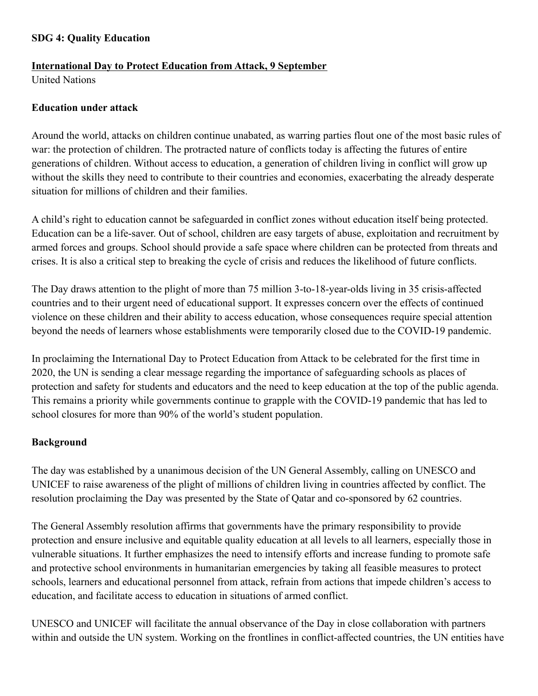## **SDG 4: Quality Education**

### **International Day to Protect Education from Attack, 9 September**

United Nations

#### **Education under attack**

Around the world, attacks on children continue unabated, as warring parties flout one of the most basic rules of war: the protection of children. The protracted nature of conflicts today is affecting the futures of entire generations of children. Without access to education, a generation of children living in conflict will grow up without the skills they need to contribute to their countries and economies, exacerbating the already desperate situation for millions of children and their families.

A child's right to education cannot be safeguarded in conflict zones without education itself being protected. Education can be a life-saver. Out of school, children are easy targets of abuse, exploitation and recruitment by armed forces and groups. School should provide a safe space where children can be protected from threats and crises. It is also a critical step to breaking the cycle of crisis and reduces the likelihood of future conflicts.

The Day draws attention to the plight of more than 75 million 3-to-18-year-olds living in 35 crisis-affected countries and to their urgent need of educational support. It expresses concern over the effects of continued violence on these children and their ability to access education, whose consequences require special attention beyond the needs of learners whose establishments were temporarily closed due to the COVID-19 pandemic.

In proclaiming the International Day to Protect Education from Attack to be celebrated for the first time in 2020, the UN is sending a clear message regarding the importance of safeguarding schools as places of protection and safety for students and educators and the need to keep education at the top of the public agenda. This remains a priority while governments continue to grapple with the COVID-19 pandemic that has led to school closures for more than 90% of the world's student population.

### **Background**

The day was established by a unanimous decision of the UN General Assembly, calling on UNESCO and UNICEF to raise awareness of the plight of millions of children living in countries affected by conflict. The resolution proclaiming the Day was presented by the State of Qatar and co-sponsored by 62 countries.

The General Assembly resolution affirms that governments have the primary responsibility to provide protection and ensure inclusive and equitable quality education at all levels to all learners, especially those in vulnerable situations. It further emphasizes the need to intensify efforts and increase funding to promote safe and protective school environments in humanitarian emergencies by taking all feasible measures to protect schools, learners and educational personnel from attack, refrain from actions that impede children's access to education, and facilitate access to education in situations of armed conflict.

UNESCO and UNICEF will facilitate the annual observance of the Day in close collaboration with partners within and outside the UN system. Working on the frontlines in conflict-affected countries, the UN entities have